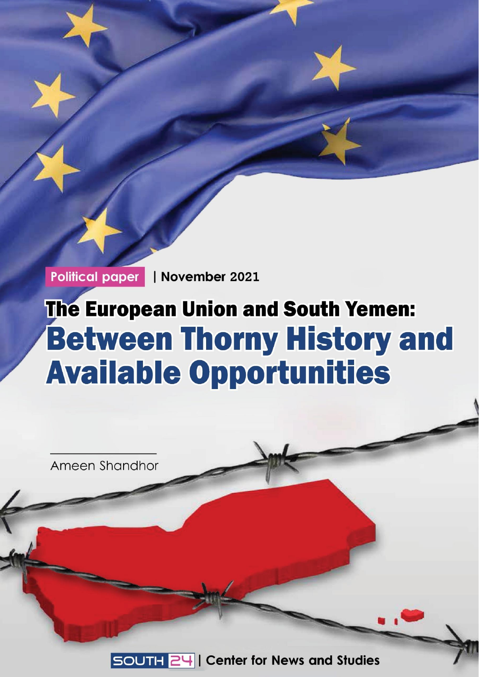Political paper | November 2021

# **The European Union and South Yemen: Between Thorny History and Available Opportunities**

Ameen Shandhor SOUTH 24 | Center for News and Studies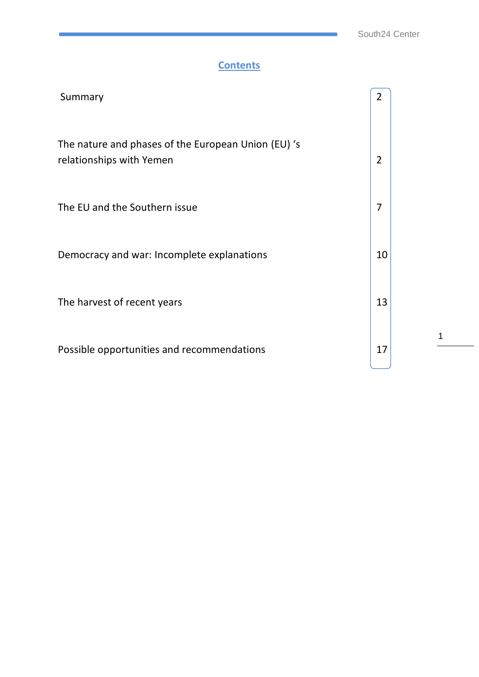#### **Contents**

| Summary                                                                         | $\overline{2}$ |  |
|---------------------------------------------------------------------------------|----------------|--|
| The nature and phases of the European Union (EU) 's<br>relationships with Yemen | $\overline{2}$ |  |
| The EU and the Southern issue                                                   | 7              |  |
| Democracy and war: Incomplete explanations                                      | 10             |  |
| The harvest of recent years                                                     | 13             |  |
| Possible opportunities and recommendations                                      | 17             |  |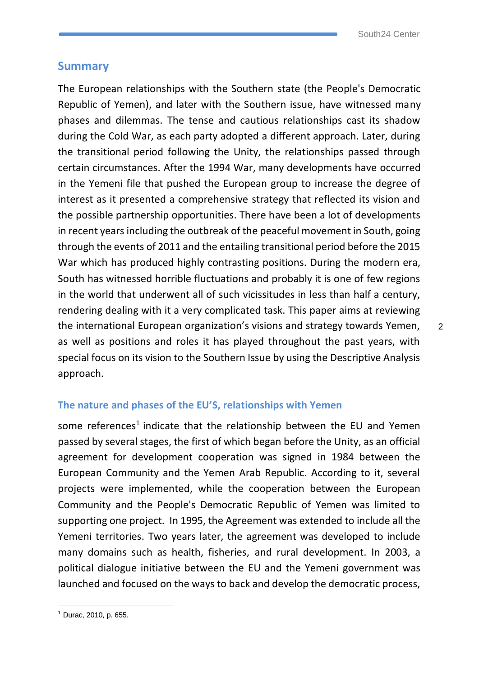#### **Summary**

The European relationships with the Southern state (the People's Democratic Republic of Yemen), and later with the Southern issue, have witnessed many phases and dilemmas. The tense and cautious relationships cast its shadow during the Cold War, as each party adopted a different approach. Later, during the transitional period following the Unity, the relationships passed through certain circumstances. After the 1994 War, many developments have occurred in the Yemeni file that pushed the European group to increase the degree of interest as it presented a comprehensive strategy that reflected its vision and the possible partnership opportunities. There have been a lot of developments in recent years including the outbreak of the peaceful movement in South, going through the events of 2011 and the entailing transitional period before the 2015 War which has produced highly contrasting positions. During the modern era, South has witnessed horrible fluctuations and probably it is one of few regions in the world that underwent all of such vicissitudes in less than half a century, rendering dealing with it a very complicated task. This paper aims at reviewing the international European organization's visions and strategy towards Yemen, as well as positions and roles it has played throughout the past years, with special focus on its vision to the Southern Issue by using the Descriptive Analysis approach.

#### **The nature and phases of the EU'S, relationships with Yemen**

some references<sup>1</sup> indicate that the relationship between the EU and Yemen passed by several stages, the first of which began before the Unity, as an official agreement for development cooperation was signed in 1984 between the European Community and the Yemen Arab Republic. According to it, several projects were implemented, while the cooperation between the European Community and the People's Democratic Republic of Yemen was limited to supporting one project. In 1995, the Agreement was extended to include all the Yemeni territories. Two years later, the agreement was developed to include many domains such as health, fisheries, and rural development. In 2003, a political dialogue initiative between the EU and the Yemeni government was launched and focused on the ways to back and develop the democratic process,

<sup>1</sup> Durac, 2010, p. 655.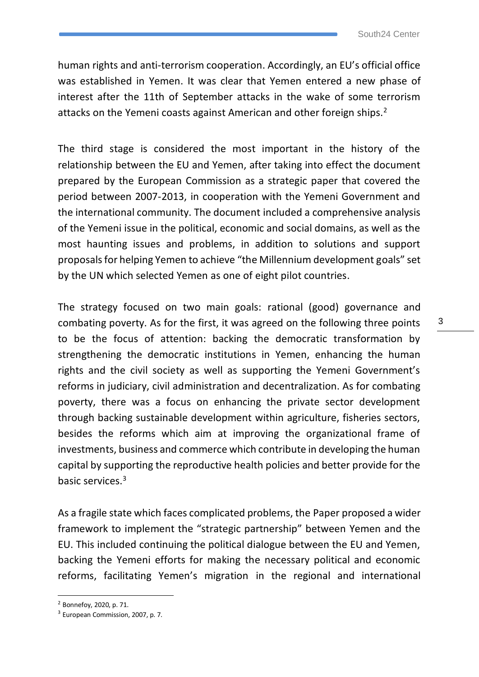human rights and anti-terrorism cooperation. Accordingly, an EU's official office was established in Yemen. It was clear that Yemen entered a new phase of interest after the 11th of September attacks in the wake of some terrorism attacks on the Yemeni coasts against American and other foreign ships.<sup>2</sup>

The third stage is considered the most important in the history of the relationship between the EU and Yemen, after taking into effect the document prepared by the European Commission as a strategic paper that covered the period between 2007-2013, in cooperation with the Yemeni Government and the international community. The document included a comprehensive analysis of the Yemeni issue in the political, economic and social domains, as well as the most haunting issues and problems, in addition to solutions and support proposals for helping Yemen to achieve "the Millennium development goals" set by the UN which selected Yemen as one of eight pilot countries.

The strategy focused on two main goals: rational (good) governance and combating poverty. As for the first, it was agreed on the following three points to be the focus of attention: backing the democratic transformation by strengthening the democratic institutions in Yemen, enhancing the human rights and the civil society as well as supporting the Yemeni Government's reforms in judiciary, civil administration and decentralization. As for combating poverty, there was a focus on enhancing the private sector development through backing sustainable development within agriculture, fisheries sectors, besides the reforms which aim at improving the organizational frame of investments, business and commerce which contribute in developing the human capital by supporting the reproductive health policies and better provide for the basic services.<sup>3</sup>

As a fragile state which faces complicated problems, the Paper proposed a wider framework to implement the "strategic partnership" between Yemen and the EU. This included continuing the political dialogue between the EU and Yemen, backing the Yemeni efforts for making the necessary political and economic reforms, facilitating Yemen's migration in the regional and international

<sup>2</sup> Bonnefoy, 2020, p. 71.

<sup>&</sup>lt;sup>3</sup> European Commission, 2007, p. 7.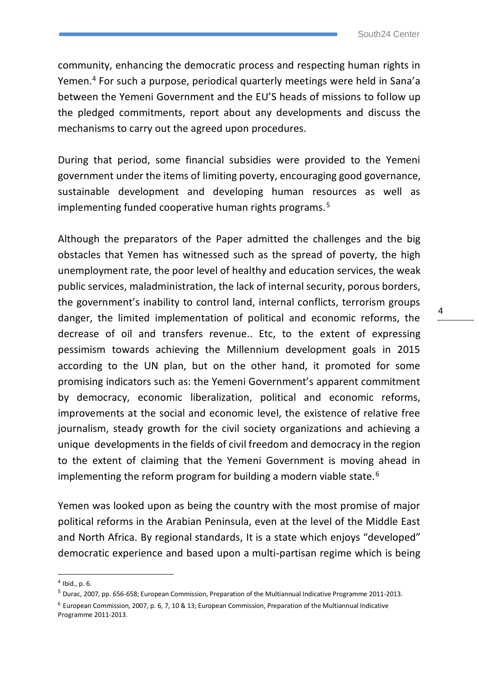community, enhancing the democratic process and respecting human rights in Yemen.<sup>4</sup> For such a purpose, periodical quarterly meetings were held in Sana'a between the Yemeni Government and the EU'S heads of missions to follow up the pledged commitments, report about any developments and discuss the mechanisms to carry out the agreed upon procedures.

During that period, some financial subsidies were provided to the Yemeni government under the items of limiting poverty, encouraging good governance, sustainable development and developing human resources as well as implementing funded cooperative human rights programs.<sup>5</sup>

Although the preparators of the Paper admitted the challenges and the big obstacles that Yemen has witnessed such as the spread of poverty, the high unemployment rate, the poor level of healthy and education services, the weak public services, maladministration, the lack of internal security, porous borders, the government's inability to control land, internal conflicts, terrorism groups danger, the limited implementation of political and economic reforms, the decrease of oil and transfers revenue.. Etc, to the extent of expressing pessimism towards achieving the Millennium development goals in 2015 according to the UN plan, but on the other hand, it promoted for some promising indicators such as: the Yemeni Government's apparent commitment by democracy, economic liberalization, political and economic reforms, improvements at the social and economic level, the existence of relative free journalism, steady growth for the civil society organizations and achieving a unique developments in the fields of civil freedom and democracy in the region to the extent of claiming that the Yemeni Government is moving ahead in implementing the reform program for building a modern viable state.<sup>6</sup>

Yemen was looked upon as being the country with the most promise of major political reforms in the Arabian Peninsula, even at the level of the Middle East and North Africa. By regional standards, It is a state which enjoys "developed" democratic experience and based upon a multi-partisan regime which is being

<sup>4</sup> Ibid., p. 6.

<sup>5</sup> Durac, 2007, pp. 656-658; European Commission, Preparation of the Multiannual Indicative Programme 2011-2013.

<sup>6</sup> European Commission, 2007, p. 6, 7, 10 & 13; European Commission, Preparation of the Multiannual Indicative Programme 2011-2013.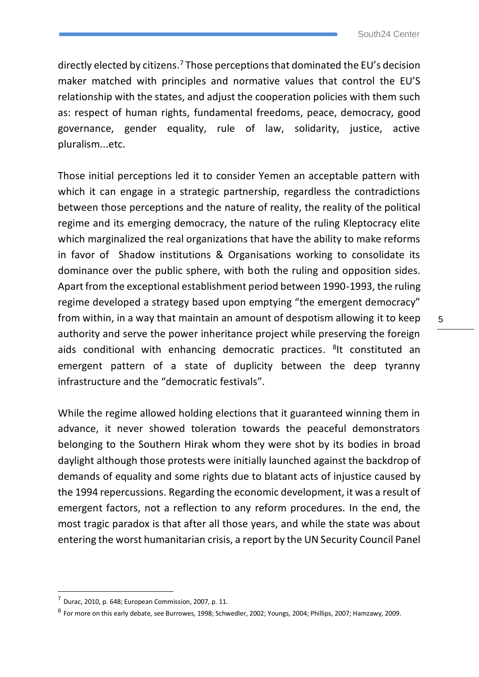directly elected by citizens. <sup>7</sup> Those perceptions that dominated the EU's decision maker matched with principles and normative values that control the EU'S relationship with the states, and adjust the cooperation policies with them such as: respect of human rights, fundamental freedoms, peace, democracy, good governance, gender equality, rule of law, solidarity, justice, active pluralism...etc.

Those initial perceptions led it to consider Yemen an acceptable pattern with which it can engage in a strategic partnership, regardless the contradictions between those perceptions and the nature of reality, the reality of the political regime and its emerging democracy, the nature of the ruling Kleptocracy elite which marginalized the real organizations that have the ability to make reforms in favor of Shadow institutions & Organisations working to consolidate its dominance over the public sphere, with both the ruling and opposition sides. Apart from the exceptional establishment period between 1990-1993, the ruling regime developed a strategy based upon emptying "the emergent democracy" from within, in a way that maintain an amount of despotism allowing it to keep authority and serve the power inheritance project while preserving the foreign aids conditional with enhancing democratic practices. <sup>8</sup>It constituted an emergent pattern of a state of duplicity between the deep tyranny infrastructure and the "democratic festivals".

While the regime allowed holding elections that it guaranteed winning them in advance, it never showed toleration towards the peaceful demonstrators belonging to the Southern Hirak whom they were shot by its bodies in broad daylight although those protests were initially launched against the backdrop of demands of equality and some rights due to blatant acts of injustice caused by the 1994 repercussions. Regarding the economic development, it was a result of emergent factors, not a reflection to any reform procedures. In the end, the most tragic paradox is that after all those years, and while the state was about entering the worst humanitarian crisis, a report by the UN Security Council Panel

 $<sup>7</sup>$  Durac, 2010, p. 648; European Commission, 2007, p. 11.</sup>

<sup>8</sup> For more on this early debate, see Burrowes, 1998; Schwedler, 2002; Youngs, 2004; Phillips, 2007; Hamzawy, 2009.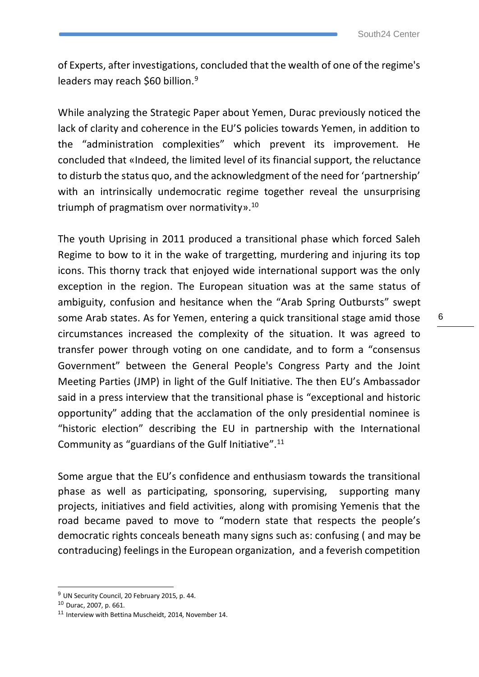of Experts, after investigations, concluded that the wealth of one of the regime's leaders may reach \$60 billion.<sup>9</sup>

While analyzing the Strategic Paper about Yemen, Durac previously noticed the lack of clarity and coherence in the EU'S policies towards Yemen, in addition to the "administration complexities" which prevent its improvement. He concluded that «Indeed, the limited level of its financial support, the reluctance to disturb the status quo, and the acknowledgment of the need for 'partnership' with an intrinsically undemocratic regime together reveal the unsurprising triumph of pragmatism over normativity». 10

The youth Uprising in 2011 produced a transitional phase which forced Saleh Regime to bow to it in the wake of trargetting, murdering and injuring its top icons. This thorny track that enjoyed wide international support was the only exception in the region. The European situation was at the same status of ambiguity, confusion and hesitance when the "Arab Spring Outbursts" swept some Arab states. As for Yemen, entering a quick transitional stage amid those circumstances increased the complexity of the situation. It was agreed to transfer power through voting on one candidate, and to form a "consensus Government" between the General People's Congress Party and the Joint Meeting Parties (JMP) in light of the Gulf Initiative. The then EU's Ambassador said in a press interview that the transitional phase is "exceptional and historic opportunity" adding that the acclamation of the only presidential nominee is "historic election" describing the EU in partnership with the International Community as "guardians of the Gulf Initiative".<sup>11</sup>

Some argue that the EU's confidence and enthusiasm towards the transitional phase as well as participating, sponsoring, supervising, supporting many projects, initiatives and field activities, along with promising Yemenis that the road became paved to move to "modern state that respects the people's democratic rights conceals beneath many signs such as: confusing ( and may be contraducing) feelings in the European organization, and a feverish competition

 $9$  UN Security Council, 20 February 2015, p. 44.

<sup>10</sup> Durac, 2007, p. 661.

<sup>11</sup> Interview with Bettina Muscheidt, 2014, November 14.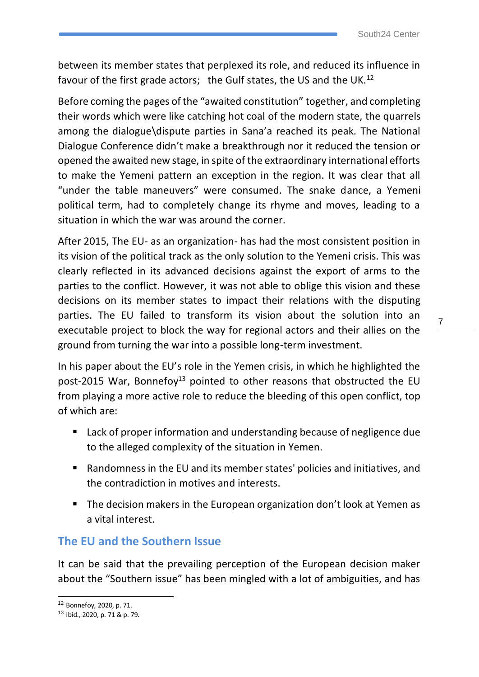between its member states that perplexed its role, and reduced its influence in favour of the first grade actors; the Gulf states, the US and the UK.<sup>12</sup>

Before coming the pages of the "awaited constitution" together, and completing their words which were like catching hot coal of the modern state, the quarrels among the dialogue\dispute parties in Sana'a reached its peak. The National Dialogue Conference didn't make a breakthrough nor it reduced the tension or opened the awaited new stage, in spite of the extraordinary international efforts to make the Yemeni pattern an exception in the region. It was clear that all "under the table maneuvers" were consumed. The snake dance, a Yemeni political term, had to completely change its rhyme and moves, leading to a situation in which the war was around the corner.

After 2015, The EU- as an organization- has had the most consistent position in its vision of the political track as the only solution to the Yemeni crisis. This was clearly reflected in its advanced decisions against the export of arms to the parties to the conflict. However, it was not able to oblige this vision and these decisions on its member states to impact their relations with the disputing parties. The EU failed to transform its vision about the solution into an executable project to block the way for regional actors and their allies on the ground from turning the war into a possible long-term investment.

In his paper about the EU's role in the Yemen crisis, in which he highlighted the post-2015 War, Bonnefoy<sup>13</sup> pointed to other reasons that obstructed the EU from playing a more active role to reduce the bleeding of this open conflict, top of which are:

- Lack of proper information and understanding because of negligence due to the alleged complexity of the situation in Yemen.
- Randomness in the EU and its member states' policies and initiatives, and the contradiction in motives and interests.
- The decision makers in the European organization don't look at Yemen as a vital interest.

#### **The EU and the Southern Issue**

It can be said that the prevailing perception of the European decision maker about the "Southern issue" has been mingled with a lot of ambiguities, and has

<sup>12</sup> Bonnefoy, 2020, p. 71.

<sup>13</sup> Ibid., 2020, p. 71 & p. 79.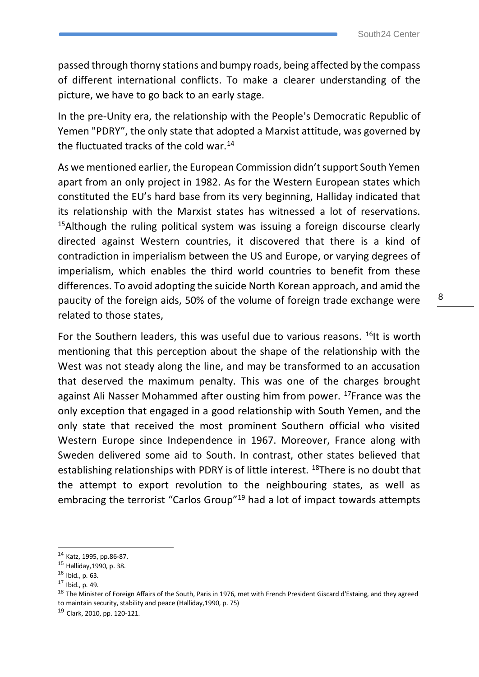passed through thorny stations and bumpy roads, being affected by the compass of different international conflicts. To make a clearer understanding of the picture, we have to go back to an early stage.

In the pre-Unity era, the relationship with the People's Democratic Republic of Yemen "PDRY", the only state that adopted a Marxist attitude, was governed by the fluctuated tracks of the cold war.<sup>14</sup>

As we mentioned earlier, the European Commission didn't support South Yemen apart from an only project in 1982. As for the Western European states which constituted the EU's hard base from its very beginning, Halliday indicated that its relationship with the Marxist states has witnessed a lot of reservations.  $15$ Although the ruling political system was issuing a foreign discourse clearly directed against Western countries, it discovered that there is a kind of contradiction in imperialism between the US and Europe, or varying degrees of imperialism, which enables the third world countries to benefit from these differences. To avoid adopting the suicide North Korean approach, and amid the paucity of the foreign aids, 50% of the volume of foreign trade exchange were related to those states,

For the Southern leaders, this was useful due to various reasons.  $^{16}$ It is worth mentioning that this perception about the shape of the relationship with the West was not steady along the line, and may be transformed to an accusation that deserved the maximum penalty. This was one of the charges brought against Ali Nasser Mohammed after ousting him from power. <sup>17</sup>France was the only exception that engaged in a good relationship with South Yemen, and the only state that received the most prominent Southern official who visited Western Europe since Independence in 1967. Moreover, France along with Sweden delivered some aid to South. In contrast, other states believed that establishing relationships with PDRY is of little interest. <sup>18</sup>There is no doubt that the attempt to export revolution to the neighbouring states, as well as embracing the terrorist "Carlos Group"<sup>19</sup> had a lot of impact towards attempts

<sup>14</sup> Katz, 1995, pp.86-87.

<sup>15</sup> Halliday,1990, p. 38.

<sup>16</sup> Ibid., p. 63.

<sup>17</sup> Ibid., p. 49.

<sup>&</sup>lt;sup>18</sup> The Minister of Foreign Affairs of the South, Paris in 1976, met with French President Giscard d'Estaing, and they agreed to maintain security, stability and peace (Halliday,1990, p. 75)

<sup>19</sup> Clark, 2010, pp. 120-121.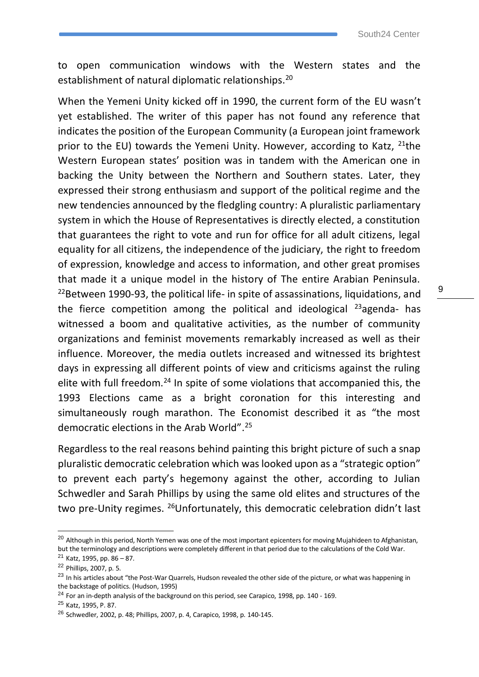to open communication windows with the Western states and the establishment of natural diplomatic relationships.<sup>20</sup>

When the Yemeni Unity kicked off in 1990, the current form of the EU wasn't yet established. The writer of this paper has not found any reference that indicates the position of the European Community (a European joint framework prior to the EU) towards the Yemeni Unity. However, according to Katz,  $^{21}$ the Western European states' position was in tandem with the American one in backing the Unity between the Northern and Southern states. Later, they expressed their strong enthusiasm and support of the political regime and the new tendencies announced by the fledgling country: A pluralistic parliamentary system in which the House of Representatives is directly elected, a constitution that guarantees the right to vote and run for office for all adult citizens, legal equality for all citizens, the independence of the judiciary, the right to freedom of expression, knowledge and access to information, and other great promises that made it a unique model in the history of The entire Arabian Peninsula.  $22$ Between 1990-93, the political life- in spite of assassinations, liquidations, and the fierce competition among the political and ideological  $^{23}$ agenda- has witnessed a boom and qualitative activities, as the number of community organizations and feminist movements remarkably increased as well as their influence. Moreover, the media outlets increased and witnessed its brightest days in expressing all different points of view and criticisms against the ruling elite with full freedom.<sup>24</sup> In spite of some violations that accompanied this, the 1993 Elections came as a bright coronation for this interesting and simultaneously rough marathon. The Economist described it as "the most democratic elections in the Arab World". 25

Regardless to the real reasons behind painting this bright picture of such a snap pluralistic democratic celebration which was looked upon as a "strategic option" to prevent each party's hegemony against the other, according to Julian Schwedler and Sarah Phillips by using the same old elites and structures of the two pre-Unity regimes. <sup>26</sup>Unfortunately, this democratic celebration didn't last

<sup>&</sup>lt;sup>20</sup> Although in this period, North Yemen was one of the most important epicenters for moving Mujahideen to Afghanistan, but the terminology and descriptions were completely different in that period due to the calculations of the Cold War. <sup>21</sup> Katz, 1995, pp. 86 – 87.

<sup>22</sup> Phillips, 2007, p. 5.

<sup>&</sup>lt;sup>23</sup> In his articles about "the Post-War Quarrels, Hudson revealed the other side of the picture, or what was happening in the backstage of politics. (Hudson, 1995)

 $24$  For an in-depth analysis of the background on this period, see Carapico, 1998, pp. 140 - 169.

<sup>25</sup> Katz, 1995, P. 87.

<sup>26</sup> Schwedler, 2002, p. 48; Phillips, 2007, p. 4, Carapico, 1998, p. 140-145.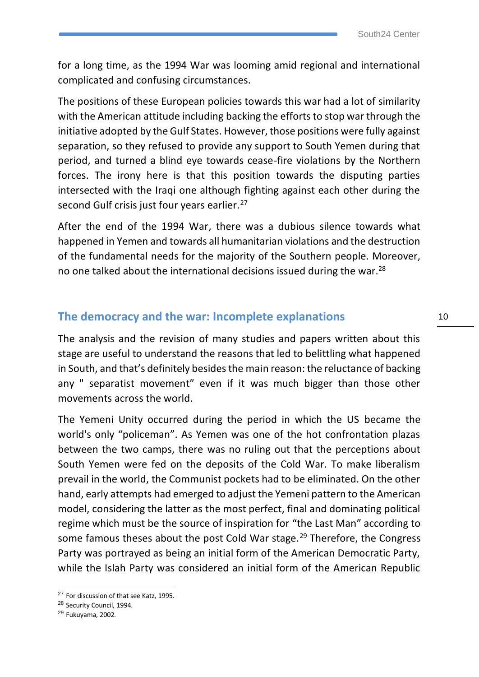for a long time, as the 1994 War was looming amid regional and international complicated and confusing circumstances.

The positions of these European policies towards this war had a lot of similarity with the American attitude including backing the efforts to stop war through the initiative adopted by the Gulf States. However, those positions were fully against separation, so they refused to provide any support to South Yemen during that period, and turned a blind eye towards cease-fire violations by the Northern forces. The irony here is that this position towards the disputing parties intersected with the Iraqi one although fighting against each other during the second Gulf crisis just four years earlier.<sup>27</sup>

After the end of the 1994 War, there was a dubious silence towards what happened in Yemen and towards all humanitarian violations and the destruction of the fundamental needs for the majority of the Southern people. Moreover, no one talked about the international decisions issued during the war. $^{28}$ 

#### **The democracy and the war: Incomplete explanations**

The analysis and the revision of many studies and papers written about this stage are useful to understand the reasons that led to belittling what happened in South, and that's definitely besides the main reason: the reluctance of backing any " separatist movement" even if it was much bigger than those other movements across the world.

The Yemeni Unity occurred during the period in which the US became the world's only "policeman". As Yemen was one of the hot confrontation plazas between the two camps, there was no ruling out that the perceptions about South Yemen were fed on the deposits of the Cold War. To make liberalism prevail in the world, the Communist pockets had to be eliminated. On the other hand, early attempts had emerged to adjust the Yemeni pattern to the American model, considering the latter as the most perfect, final and dominating political regime which must be the source of inspiration for "the Last Man" according to some famous theses about the post Cold War stage.<sup>29</sup> Therefore, the Congress Party was portrayed as being an initial form of the American Democratic Party, while the Islah Party was considered an initial form of the American Republic

<sup>&</sup>lt;sup>27</sup> For discussion of that see Katz, 1995.

<sup>28</sup> Security Council, 1994.

<sup>29</sup> Fukuyama, 2002.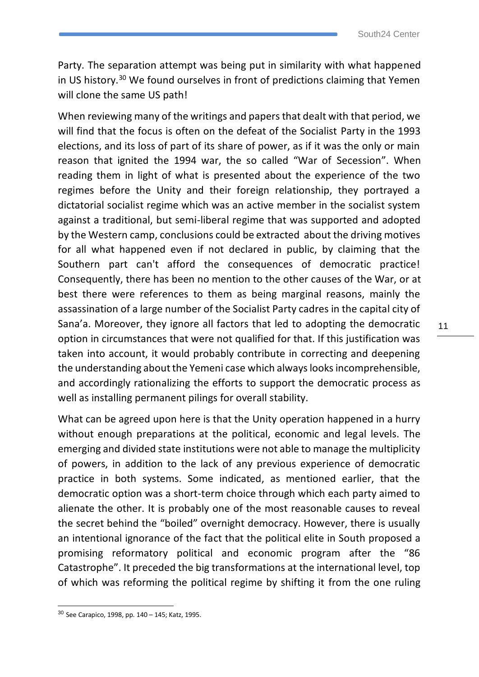Party. The separation attempt was being put in similarity with what happened in US history.<sup>30</sup> We found ourselves in front of predictions claiming that Yemen will clone the same US path!

When reviewing many of the writings and papers that dealt with that period, we will find that the focus is often on the defeat of the Socialist Party in the 1993 elections, and its loss of part of its share of power, as if it was the only or main reason that ignited the 1994 war, the so called "War of Secession". When reading them in light of what is presented about the experience of the two regimes before the Unity and their foreign relationship, they portrayed a dictatorial socialist regime which was an active member in the socialist system against a traditional, but semi-liberal regime that was supported and adopted by the Western camp, conclusions could be extracted about the driving motives for all what happened even if not declared in public, by claiming that the Southern part can't afford the consequences of democratic practice! Consequently, there has been no mention to the other causes of the War, or at best there were references to them as being marginal reasons, mainly the assassination of a large number of the Socialist Party cadres in the capital city of Sana'a. Moreover, they ignore all factors that led to adopting the democratic option in circumstances that were not qualified for that. If this justification was taken into account, it would probably contribute in correcting and deepening the understanding about the Yemeni case which always looks incomprehensible, and accordingly rationalizing the efforts to support the democratic process as well as installing permanent pilings for overall stability.

What can be agreed upon here is that the Unity operation happened in a hurry without enough preparations at the political, economic and legal levels. The emerging and divided state institutions were not able to manage the multiplicity of powers, in addition to the lack of any previous experience of democratic practice in both systems. Some indicated, as mentioned earlier, that the democratic option was a short-term choice through which each party aimed to alienate the other. It is probably one of the most reasonable causes to reveal the secret behind the "boiled" overnight democracy. However, there is usually an intentional ignorance of the fact that the political elite in South proposed a promising reformatory political and economic program after the "86 Catastrophe". It preceded the big transformations at the international level, top of which was reforming the political regime by shifting it from the one ruling

<sup>30</sup> See Carapico, 1998, pp. 140 – 145; Katz, 1995.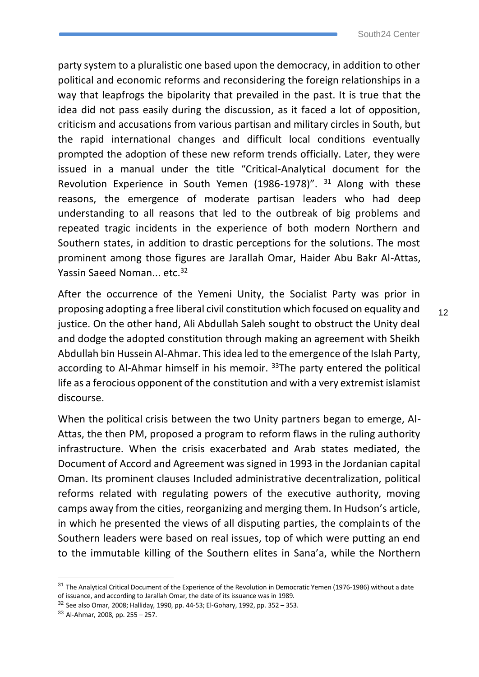party system to a pluralistic one based upon the democracy, in addition to other political and economic reforms and reconsidering the foreign relationships in a way that leapfrogs the bipolarity that prevailed in the past. It is true that the idea did not pass easily during the discussion, as it faced a lot of opposition, criticism and accusations from various partisan and military circles in South, but the rapid international changes and difficult local conditions eventually prompted the adoption of these new reform trends officially. Later, they were issued in a manual under the title "Critical-Analytical document for the Revolution Experience in South Yemen (1986-1978)". <sup>31</sup> Along with these reasons, the emergence of moderate partisan leaders who had deep understanding to all reasons that led to the outbreak of big problems and repeated tragic incidents in the experience of both modern Northern and Southern states, in addition to drastic perceptions for the solutions. The most prominent among those figures are Jarallah Omar, Haider Abu Bakr Al-Attas, Yassin Saeed Noman... etc.<sup>32</sup>

After the occurrence of the Yemeni Unity, the Socialist Party was prior in proposing adopting a free liberal civil constitution which focused on equality and justice. On the other hand, Ali Abdullah Saleh sought to obstruct the Unity deal and dodge the adopted constitution through making an agreement with Sheikh Abdullah bin Hussein Al-Ahmar. This idea led to the emergence of the Islah Party, according to Al-Ahmar himself in his memoir. <sup>33</sup>The party entered the political life as a ferocious opponent of the constitution and with a very extremist islamist discourse.

When the political crisis between the two Unity partners began to emerge, Al-Attas, the then PM, proposed a program to reform flaws in the ruling authority infrastructure. When the crisis exacerbated and Arab states mediated, the Document of Accord and Agreement was signed in 1993 in the Jordanian capital Oman. Its prominent clauses Included administrative decentralization, political reforms related with regulating powers of the executive authority, moving camps away from the cities, reorganizing and merging them. In Hudson's article, in which he presented the views of all disputing parties, the complaints of the Southern leaders were based on real issues, top of which were putting an end to the immutable killing of the Southern elites in Sana'a, while the Northern

<sup>&</sup>lt;sup>31</sup> The Analytical Critical Document of the Experience of the Revolution in Democratic Yemen (1976-1986) without a date of issuance, and according to Jarallah Omar, the date of its issuance was in 1989.

<sup>32</sup> See also Omar, 2008; Halliday, 1990, pp. 44-53; El-Gohary, 1992, pp. 352 – 353.

<sup>33</sup> Al-Ahmar, 2008, pp. 255 – 257.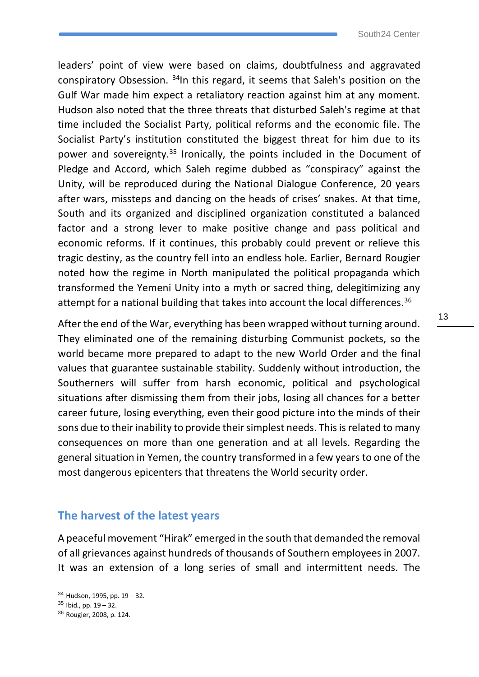leaders' point of view were based on claims, doubtfulness and aggravated conspiratory Obsession. <sup>34</sup>In this regard, it seems that Saleh's position on the Gulf War made him expect a retaliatory reaction against him at any moment. Hudson also noted that the three threats that disturbed Saleh's regime at that time included the Socialist Party, political reforms and the economic file. The Socialist Party's institution constituted the biggest threat for him due to its power and sovereignty.<sup>35</sup> Ironically, the points included in the Document of Pledge and Accord, which Saleh regime dubbed as "conspiracy" against the Unity, will be reproduced during the National Dialogue Conference, 20 years after wars, missteps and dancing on the heads of crises' snakes. At that time, South and its organized and disciplined organization constituted a balanced factor and a strong lever to make positive change and pass political and economic reforms. If it continues, this probably could prevent or relieve this tragic destiny, as the country fell into an endless hole. Earlier, Bernard Rougier noted how the regime in North manipulated the political propaganda which transformed the Yemeni Unity into a myth or sacred thing, delegitimizing any attempt for a national building that takes into account the local differences.<sup>36</sup>

After the end of the War, everything has been wrapped without turning around. They eliminated one of the remaining disturbing Communist pockets, so the world became more prepared to adapt to the new World Order and the final values that guarantee sustainable stability. Suddenly without introduction, the Southerners will suffer from harsh economic, political and psychological situations after dismissing them from their jobs, losing all chances for a better career future, losing everything, even their good picture into the minds of their sons due to their inability to provide their simplest needs. This is related to many consequences on more than one generation and at all levels. Regarding the general situation in Yemen, the country transformed in a few years to one of the most dangerous epicenters that threatens the World security order.

#### **The harvest of the latest years**

A peaceful movement "Hirak" emerged in the south that demanded the removal of all grievances against hundreds of thousands of Southern employees in 2007. It was an extension of a long series of small and intermittent needs. The

 $34$  Hudson, 1995, pp. 19 – 32.

<sup>35</sup> Ibid., pp. 19 – 32.

<sup>36</sup> Rougier, 2008, p. 124.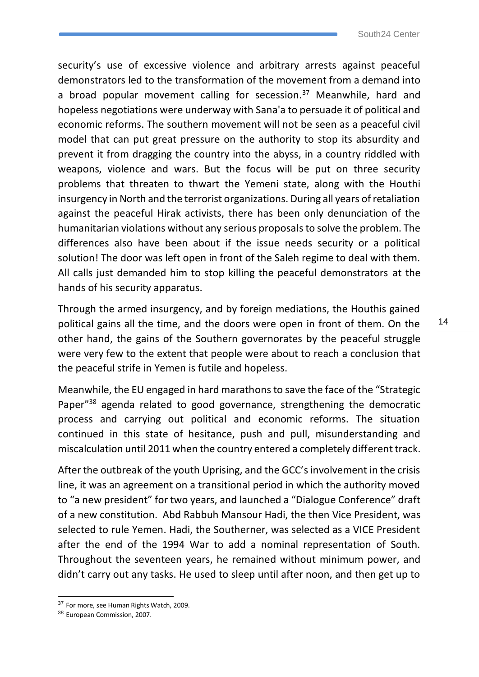security's use of excessive violence and arbitrary arrests against peaceful demonstrators led to the transformation of the movement from a demand into a broad popular movement calling for secession.<sup>37</sup> Meanwhile, hard and hopeless negotiations were underway with Sana'a to persuade it of political and economic reforms. The southern movement will not be seen as a peaceful civil model that can put great pressure on the authority to stop its absurdity and prevent it from dragging the country into the abyss, in a country riddled with weapons, violence and wars. But the focus will be put on three security problems that threaten to thwart the Yemeni state, along with the Houthi insurgency in North and the terrorist organizations. During all years of retaliation against the peaceful Hirak activists, there has been only denunciation of the humanitarian violations without any serious proposals to solve the problem. The differences also have been about if the issue needs security or a political solution! The door was left open in front of the Saleh regime to deal with them. All calls just demanded him to stop killing the peaceful demonstrators at the hands of his security apparatus.

Through the armed insurgency, and by foreign mediations, the Houthis gained political gains all the time, and the doors were open in front of them. On the other hand, the gains of the Southern governorates by the peaceful struggle were very few to the extent that people were about to reach a conclusion that the peaceful strife in Yemen is futile and hopeless.

Meanwhile, the EU engaged in hard marathons to save the face of the "Strategic Paper"<sup>38</sup> agenda related to good governance, strengthening the democratic process and carrying out political and economic reforms. The situation continued in this state of hesitance, push and pull, misunderstanding and miscalculation until 2011 when the country entered a completely different track.

After the outbreak of the youth Uprising, and the GCC's involvement in the crisis line, it was an agreement on a transitional period in which the authority moved to "a new president" for two years, and launched a "Dialogue Conference" draft of a new constitution. Abd Rabbuh Mansour Hadi, the then Vice President, was selected to rule Yemen. Hadi, the Southerner, was selected as a VICE President after the end of the 1994 War to add a nominal representation of South. Throughout the seventeen years, he remained without minimum power, and didn't carry out any tasks. He used to sleep until after noon, and then get up to

<sup>&</sup>lt;sup>37</sup> For more, see Human Rights Watch, 2009.

<sup>38</sup> European Commission, 2007.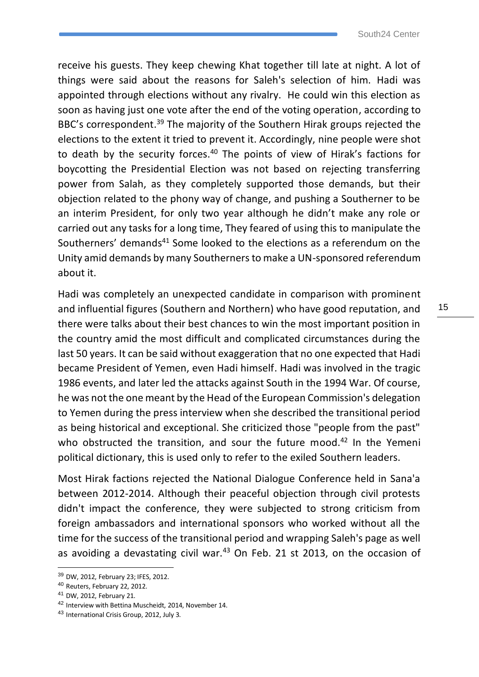receive his guests. They keep chewing Khat together till late at night. A lot of things were said about the reasons for Saleh's selection of him. Hadi was appointed through elections without any rivalry. He could win this election as soon as having just one vote after the end of the voting operation, according to BBC's correspondent.<sup>39</sup> The majority of the Southern Hirak groups rejected the elections to the extent it tried to prevent it. Accordingly, nine people were shot to death by the security forces.<sup>40</sup> The points of view of Hirak's factions for boycotting the Presidential Election was not based on rejecting transferring power from Salah, as they completely supported those demands, but their objection related to the phony way of change, and pushing a Southerner to be an interim President, for only two year although he didn't make any role or carried out any tasks for a long time, They feared of using this to manipulate the Southerners' demands<sup>41</sup> Some looked to the elections as a referendum on the Unity amid demands by many Southerners to make a UN-sponsored referendum about it.

Hadi was completely an unexpected candidate in comparison with prominent and influential figures (Southern and Northern) who have good reputation, and there were talks about their best chances to win the most important position in the country amid the most difficult and complicated circumstances during the last 50 years. It can be said without exaggeration that no one expected that Hadi became President of Yemen, even Hadi himself. Hadi was involved in the tragic 1986 events, and later led the attacks against South in the 1994 War. Of course, he was not the one meant by the Head of the European Commission's delegation to Yemen during the press interview when she described the transitional period as being historical and exceptional. She criticized those "people from the past" who obstructed the transition, and sour the future mood.<sup>42</sup> In the Yemeni political dictionary, this is used only to refer to the exiled Southern leaders.

Most Hirak factions rejected the National Dialogue Conference held in Sana'a between 2012-2014. Although their peaceful objection through civil protests didn't impact the conference, they were subjected to strong criticism from foreign ambassadors and international sponsors who worked without all the time for the success of the transitional period and wrapping Saleh's page as well as avoiding a devastating civil war. $43$  On Feb. 21 st 2013, on the occasion of

<sup>39</sup> DW, 2012, February 23; IFES, 2012.

<sup>40</sup> Reuters, February 22, 2012.

<sup>41</sup> DW, 2012, February 21.

<sup>42</sup> Interview with Bettina Muscheidt, 2014, November 14.

<sup>43</sup> International Crisis Group, 2012, July 3.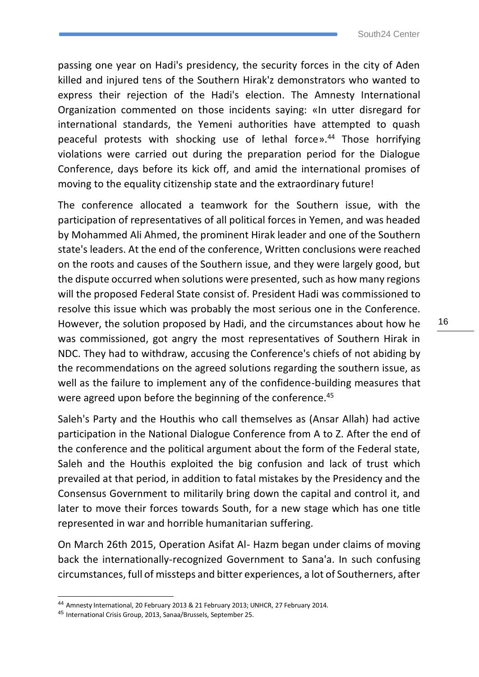passing one year on Hadi's presidency, the security forces in the city of Aden killed and injured tens of the Southern Hirak'z demonstrators who wanted to express their rejection of the Hadi's election. The Amnesty International Organization commented on those incidents saying: «In utter disregard for international standards, the Yemeni authorities have attempted to quash peaceful protests with shocking use of lethal force». <sup>44</sup> Those horrifying violations were carried out during the preparation period for the Dialogue Conference, days before its kick off, and amid the international promises of moving to the equality citizenship state and the extraordinary future!

The conference allocated a teamwork for the Southern issue, with the participation of representatives of all political forces in Yemen, and was headed by Mohammed Ali Ahmed, the prominent Hirak leader and one of the Southern state's leaders. At the end of the conference, Written conclusions were reached on the roots and causes of the Southern issue, and they were largely good, but the dispute occurred when solutions were presented, such as how many regions will the proposed Federal State consist of. President Hadi was commissioned to resolve this issue which was probably the most serious one in the Conference. However, the solution proposed by Hadi, and the circumstances about how he was commissioned, got angry the most representatives of Southern Hirak in NDC. They had to withdraw, accusing the Conference's chiefs of not abiding by the recommendations on the agreed solutions regarding the southern issue, as well as the failure to implement any of the confidence-building measures that were agreed upon before the beginning of the conference.<sup>45</sup>

Saleh's Party and the Houthis who call themselves as (Ansar Allah) had active participation in the National Dialogue Conference from A to Z. After the end of the conference and the political argument about the form of the Federal state, Saleh and the Houthis exploited the big confusion and lack of trust which prevailed at that period, in addition to fatal mistakes by the Presidency and the Consensus Government to militarily bring down the capital and control it, and later to move their forces towards South, for a new stage which has one title represented in war and horrible humanitarian suffering.

On March 26th 2015, Operation Asifat Al- Hazm began under claims of moving back the internationally-recognized Government to Sana'a. In such confusing circumstances, full of missteps and bitter experiences, a lot of Southerners, after

<sup>44</sup> Amnesty International, 20 February 2013 & 21 February 2013; UNHCR, 27 February 2014.

<sup>45</sup> International Crisis Group, 2013, Sanaa/Brussels, September 25.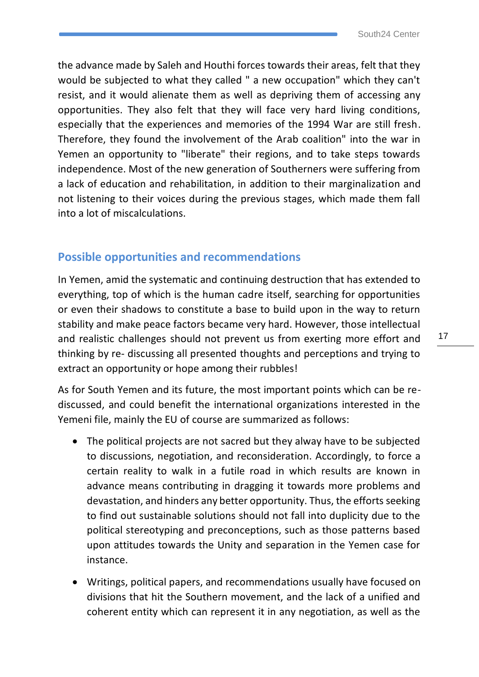the advance made by Saleh and Houthi forces towards their areas, felt that they would be subjected to what they called " a new occupation" which they can't resist, and it would alienate them as well as depriving them of accessing any opportunities. They also felt that they will face very hard living conditions, especially that the experiences and memories of the 1994 War are still fresh. Therefore, they found the involvement of the Arab coalition" into the war in Yemen an opportunity to "liberate" their regions, and to take steps towards independence. Most of the new generation of Southerners were suffering from a lack of education and rehabilitation, in addition to their marginalization and not listening to their voices during the previous stages, which made them fall into a lot of miscalculations.

#### **Possible opportunities and recommendations**

In Yemen, amid the systematic and continuing destruction that has extended to everything, top of which is the human cadre itself, searching for opportunities or even their shadows to constitute a base to build upon in the way to return stability and make peace factors became very hard. However, those intellectual and realistic challenges should not prevent us from exerting more effort and thinking by re- discussing all presented thoughts and perceptions and trying to extract an opportunity or hope among their rubbles!

As for South Yemen and its future, the most important points which can be rediscussed, and could benefit the international organizations interested in the Yemeni file, mainly the EU of course are summarized as follows:

- The political projects are not sacred but they alway have to be subjected to discussions, negotiation, and reconsideration. Accordingly, to force a certain reality to walk in a futile road in which results are known in advance means contributing in dragging it towards more problems and devastation, and hinders any better opportunity. Thus, the efforts seeking to find out sustainable solutions should not fall into duplicity due to the political stereotyping and preconceptions, such as those patterns based upon attitudes towards the Unity and separation in the Yemen case for instance.
- Writings, political papers, and recommendations usually have focused on divisions that hit the Southern movement, and the lack of a unified and coherent entity which can represent it in any negotiation, as well as the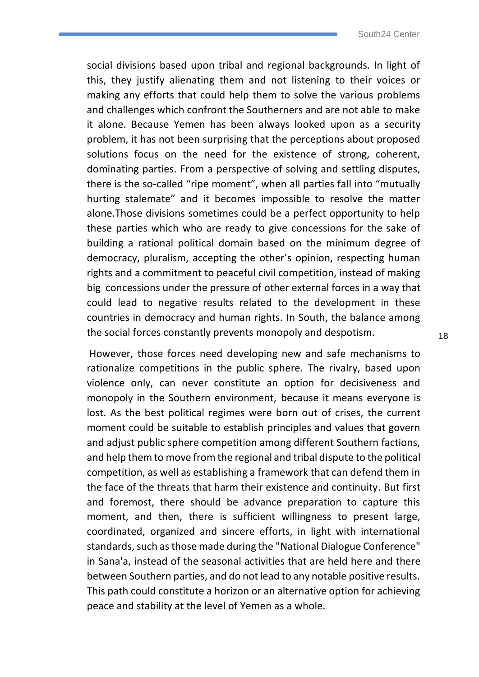social divisions based upon tribal and regional backgrounds. In light of this, they justify alienating them and not listening to their voices or making any efforts that could help them to solve the various problems and challenges which confront the Southerners and are not able to make it alone. Because Yemen has been always looked upon as a security problem, it has not been surprising that the perceptions about proposed solutions focus on the need for the existence of strong, coherent, dominating parties. From a perspective of solving and settling disputes, there is the so-called "ripe moment", when all parties fall into "mutually hurting stalemate" and it becomes impossible to resolve the matter alone.Those divisions sometimes could be a perfect opportunity to help these parties which who are ready to give concessions for the sake of building a rational political domain based on the minimum degree of democracy, pluralism, accepting the other's opinion, respecting human rights and a commitment to peaceful civil competition, instead of making big concessions under the pressure of other external forces in a way that could lead to negative results related to the development in these countries in democracy and human rights. In South, the balance among the social forces constantly prevents monopoly and despotism.

However, those forces need developing new and safe mechanisms to rationalize competitions in the public sphere. The rivalry, based upon violence only, can never constitute an option for decisiveness and monopoly in the Southern environment, because it means everyone is lost. As the best political regimes were born out of crises, the current moment could be suitable to establish principles and values that govern and adjust public sphere competition among different Southern factions, and help them to move from the regional and tribal dispute to the political competition, as well as establishing a framework that can defend them in the face of the threats that harm their existence and continuity. But first and foremost, there should be advance preparation to capture this moment, and then, there is sufficient willingness to present large, coordinated, organized and sincere efforts, in light with international standards, such as those made during the "National Dialogue Conference" in Sana'a, instead of the seasonal activities that are held here and there between Southern parties, and do not lead to any notable positive results. This path could constitute a horizon or an alternative option for achieving peace and stability at the level of Yemen as a whole.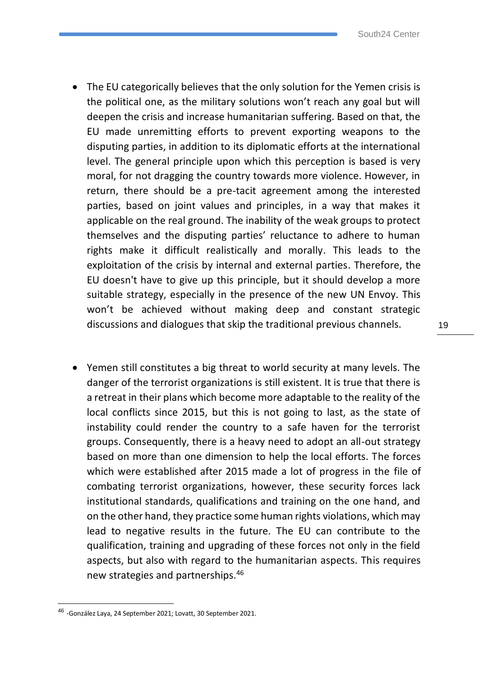- The EU categorically believes that the only solution for the Yemen crisis is the political one, as the military solutions won't reach any goal but will deepen the crisis and increase humanitarian suffering. Based on that, the EU made unremitting efforts to prevent exporting weapons to the disputing parties, in addition to its diplomatic efforts at the international level. The general principle upon which this perception is based is very moral, for not dragging the country towards more violence. However, in return, there should be a pre-tacit agreement among the interested parties, based on joint values and principles, in a way that makes it applicable on the real ground. The inability of the weak groups to protect themselves and the disputing parties' reluctance to adhere to human rights make it difficult realistically and morally. This leads to the exploitation of the crisis by internal and external parties. Therefore, the EU doesn't have to give up this principle, but it should develop a more suitable strategy, especially in the presence of the new UN Envoy. This won't be achieved without making deep and constant strategic discussions and dialogues that skip the traditional previous channels.
- Yemen still constitutes a big threat to world security at many levels. The danger of the terrorist organizations is still existent. It is true that there is a retreat in their plans which become more adaptable to the reality of the local conflicts since 2015, but this is not going to last, as the state of instability could render the country to a safe haven for the terrorist groups. Consequently, there is a heavy need to adopt an all-out strategy based on more than one dimension to help the local efforts. The forces which were established after 2015 made a lot of progress in the file of combating terrorist organizations, however, these security forces lack institutional standards, qualifications and training on the one hand, and on the other hand, they practice some human rights violations, which may lead to negative results in the future. The EU can contribute to the qualification, training and upgrading of these forces not only in the field aspects, but also with regard to the humanitarian aspects. This requires new strategies and partnerships.<sup>46</sup>

<sup>46</sup> -González Laya, 24 September 2021; Lovatt, 30 September 2021.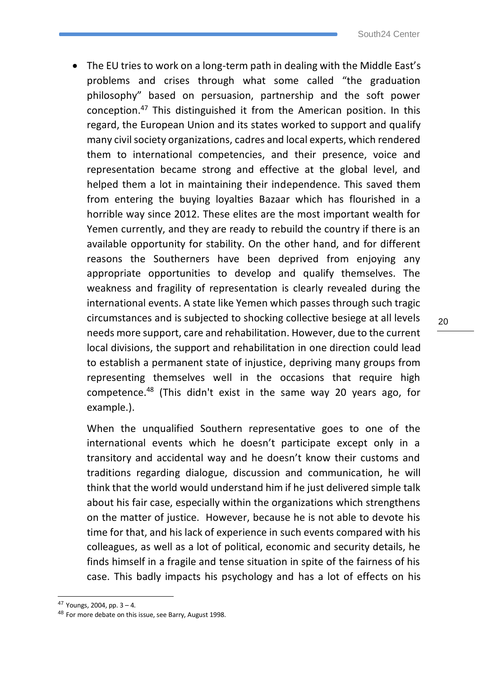• The EU tries to work on a long-term path in dealing with the Middle East's problems and crises through what some called "the graduation philosophy" based on persuasion, partnership and the soft power conception.<sup>47</sup> This distinguished it from the American position. In this regard, the European Union and its states worked to support and qualify many civil society organizations, cadres and local experts, which rendered them to international competencies, and their presence, voice and representation became strong and effective at the global level, and helped them a lot in maintaining their independence. This saved them from entering the buying loyalties Bazaar which has flourished in a horrible way since 2012. These elites are the most important wealth for Yemen currently, and they are ready to rebuild the country if there is an available opportunity for stability. On the other hand, and for different reasons the Southerners have been deprived from enjoying any appropriate opportunities to develop and qualify themselves. The weakness and fragility of representation is clearly revealed during the international events. A state like Yemen which passes through such tragic circumstances and is subjected to shocking collective besiege at all levels needs more support, care and rehabilitation. However, due to the current local divisions, the support and rehabilitation in one direction could lead to establish a permanent state of injustice, depriving many groups from representing themselves well in the occasions that require high competence.<sup>48</sup> (This didn't exist in the same way 20 years ago, for example.).

When the unqualified Southern representative goes to one of the international events which he doesn't participate except only in a transitory and accidental way and he doesn't know their customs and traditions regarding dialogue, discussion and communication, he will think that the world would understand him if he just delivered simple talk about his fair case, especially within the organizations which strengthens on the matter of justice. However, because he is not able to devote his time for that, and his lack of experience in such events compared with his colleagues, as well as a lot of political, economic and security details, he finds himself in a fragile and tense situation in spite of the fairness of his case. This badly impacts his psychology and has a lot of effects on his

<sup>47</sup> Youngs, 2004, pp. 3 – 4.

<sup>48</sup> For more debate on this issue, see Barry, August 1998.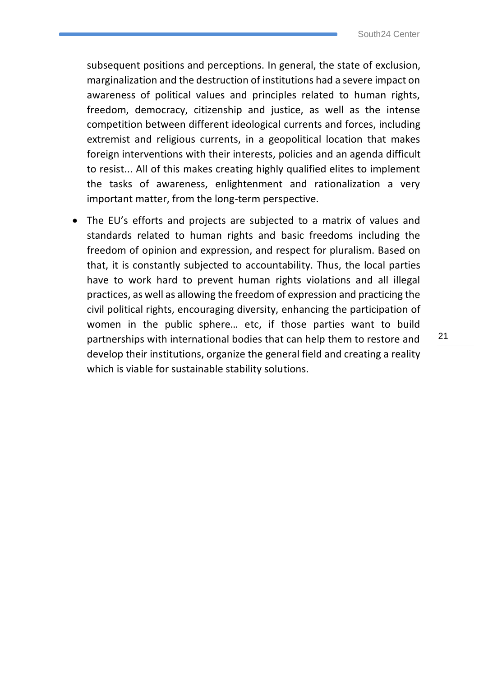subsequent positions and perceptions. In general, the state of exclusion, marginalization and the destruction of institutions had a severe impact on awareness of political values and principles related to human rights, freedom, democracy, citizenship and justice, as well as the intense competition between different ideological currents and forces, including extremist and religious currents, in a geopolitical location that makes foreign interventions with their interests, policies and an agenda difficult to resist... All of this makes creating highly qualified elites to implement the tasks of awareness, enlightenment and rationalization a very important matter, from the long-term perspective.

• The EU's efforts and projects are subjected to a matrix of values and standards related to human rights and basic freedoms including the freedom of opinion and expression, and respect for pluralism. Based on that, it is constantly subjected to accountability. Thus, the local parties have to work hard to prevent human rights violations and all illegal practices, as well as allowing the freedom of expression and practicing the civil political rights, encouraging diversity, enhancing the participation of women in the public sphere… etc, if those parties want to build partnerships with international bodies that can help them to restore and develop their institutions, organize the general field and creating a reality which is viable for sustainable stability solutions.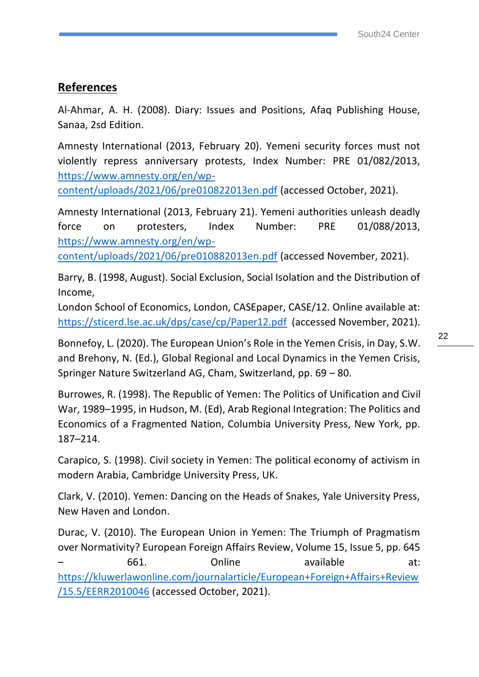#### **References**

Al-Ahmar, A. H. (2008). Diary: Issues and Positions, Afaq Publishing House, Sanaa, 2sd Edition.

Amnesty International (2013, February 20). Yemeni security forces must not violently repress anniversary protests, Index Number: PRE 01/082/2013, [https://www.amnesty.org/en/wp-](https://www.amnesty.org/en/wp-content/uploads/2021/06/pre010822013en.pdf)

[content/uploads/2021/06/pre010822013en.pdf](https://www.amnesty.org/en/wp-content/uploads/2021/06/pre010822013en.pdf) (accessed October, 2021).

Amnesty International (2013, February 21). Yemeni authorities unleash deadly force on protesters, Index Number: PRE 01/088/2013, [https://www.amnesty.org/en/wp-](https://www.amnesty.org/en/wp-content/uploads/2021/06/pre010882013en.pdf)

[content/uploads/2021/06/pre010882013en.pdf](https://www.amnesty.org/en/wp-content/uploads/2021/06/pre010882013en.pdf) (accessed November, 2021).

Barry, B. (1998, August). Social Exclusion, Social Isolation and the Distribution of Income,

London School of Economics, London, CASEpaper, CASE/12. Online available at: <https://sticerd.lse.ac.uk/dps/case/cp/Paper12.pdf>(accessed November, 2021).

Bonnefoy, L. (2020). The European Union's Role in the Yemen Crisis, in Day, S.W. and Brehony, N. (Ed.), Global Regional and Local Dynamics in the Yemen Crisis, Springer Nature Switzerland AG, Cham, Switzerland, pp. 69 – 80.

Burrowes, R. (1998). The Republic of Yemen: The Politics of Unification and Civil War, 1989–1995, in Hudson, M. (Ed), Arab Regional Integration: The Politics and Economics of a Fragmented Nation, Columbia University Press, New York, pp. 187–214.

Carapico, S. (1998). Civil society in Yemen: The political economy of activism in modern Arabia, Cambridge University Press, UK.

Clark, V. (2010). Yemen: Dancing on the Heads of Snakes, Yale University Press, New Haven and London.

Durac, V. (2010). The European Union in Yemen: The Triumph of Pragmatism over Normativity? European Foreign Affairs Review, Volume 15, Issue 5, pp. 645 – 661. Online available at: [https://kluwerlawonline.com/journalarticle/European+Foreign+Affairs+Review](https://kluwerlawonline.com/journalarticle/European+Foreign+Affairs+Review/15.5/EERR2010046) [/15.5/EERR2010046](https://kluwerlawonline.com/journalarticle/European+Foreign+Affairs+Review/15.5/EERR2010046) (accessed October, 2021).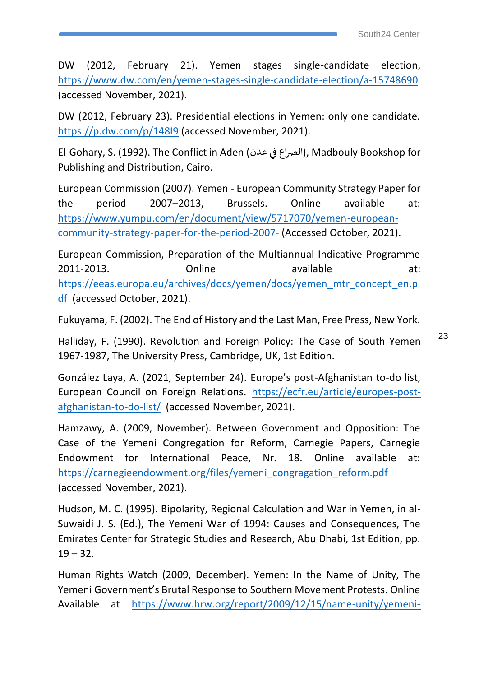DW (2012, February 21). Yemen stages single-candidate election, <https://www.dw.com/en/yemen-stages-single-candidate-election/a-15748690> (accessed November, 2021).

DW (2012, February 23). Presidential elections in Yemen: only one candidate. <https://p.dw.com/p/148I9> (accessed November, 2021).

El-Gohary, S. (1992). The Conflict in Aden (الصراع في عدن), Madbouly Bookshop for Publishing and Distribution, Cairo.

European Commission (2007). Yemen - European Community Strategy Paper for the period 2007–2013, Brussels. Online available at: [https://www.yumpu.com/en/document/view/5717070/yemen-european](https://www.yumpu.com/en/document/view/5717070/yemen-european-community-strategy-paper-for-the-period-2007-)[community-strategy-paper-for-the-period-2007-](https://www.yumpu.com/en/document/view/5717070/yemen-european-community-strategy-paper-for-the-period-2007-) (Accessed October, 2021).

European Commission, Preparation of the Multiannual Indicative Programme 2011-2013. Online available at: [https://eeas.europa.eu/archives/docs/yemen/docs/yemen\\_mtr\\_concept\\_en.p](https://eeas.europa.eu/archives/docs/yemen/docs/yemen_mtr_concept_en.pdf) [df](https://eeas.europa.eu/archives/docs/yemen/docs/yemen_mtr_concept_en.pdf) (accessed October, 2021).

Fukuyama, F. (2002). The End of History and the Last Man, Free Press, New York.

Halliday, F. (1990). Revolution and Foreign Policy: The Case of South Yemen 1967-1987, The University Press, Cambridge, UK, 1st Edition.

González Laya, A. (2021, September 24). Europe's post-Afghanistan to-do list, European Council on Foreign Relations. [https://ecfr.eu/article/europes-post](https://ecfr.eu/article/europes-post-afghanistan-to-do-list/)[afghanistan-to-do-list/](https://ecfr.eu/article/europes-post-afghanistan-to-do-list/) (accessed November, 2021).

Hamzawy, A. (2009, November). Between Government and Opposition: The Case of the Yemeni Congregation for Reform, Carnegie Papers, Carnegie Endowment for International Peace, Nr. 18. Online available at: [https://carnegieendowment.org/files/yemeni\\_congragation\\_reform.pdf](https://carnegieendowment.org/files/yemeni_congragation_reform.pdf) (accessed November, 2021).

Hudson, M. C. (1995). Bipolarity, Regional Calculation and War in Yemen, in al-Suwaidi J. S. (Ed.), The Yemeni War of 1994: Causes and Consequences, The Emirates Center for Strategic Studies and Research, Abu Dhabi, 1st Edition, pp.  $19 - 32.$ 

Human Rights Watch (2009, December). Yemen: In the Name of Unity, The Yemeni Government's Brutal Response to Southern Movement Protests. Online Available at [https://www.hrw.org/report/2009/12/15/name-unity/yemeni-](https://www.hrw.org/report/2009/12/15/name-unity/yemeni-governments-brutal-response-southern-movement-protests)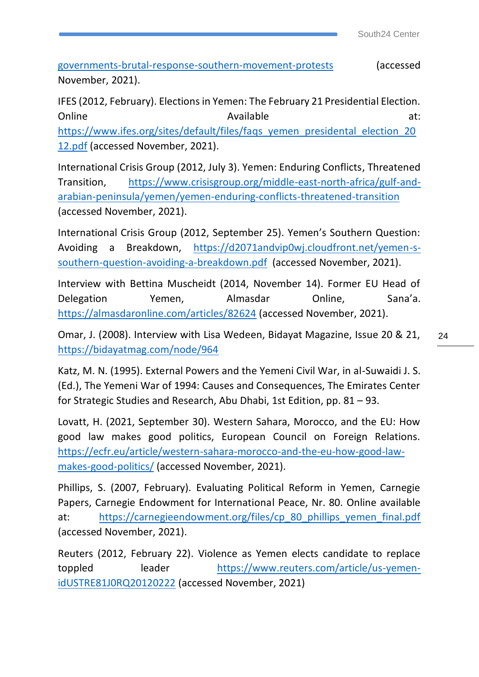[governments-brutal-response-southern-movement-protests](https://www.hrw.org/report/2009/12/15/name-unity/yemeni-governments-brutal-response-southern-movement-protests) (accessed November, 2021).

IFES (2012, February). Elections in Yemen: The February 21 Presidential Election. Online at: Available Available at: https://www.ifes.org/sites/default/files/fags\_yemen\_presidental\_election\_20 [12.pdf](https://www.ifes.org/sites/default/files/faqs_yemen_presidental_election_2012.pdf) (accessed November, 2021).

International Crisis Group (2012, July 3). Yemen: Enduring Conflicts, Threatened Transition, [https://www.crisisgroup.org/middle-east-north-africa/gulf-and](https://www.crisisgroup.org/middle-east-north-africa/gulf-and-arabian-peninsula/yemen/yemen-enduring-conflicts-threatened-transition)[arabian-peninsula/yemen/yemen-enduring-conflicts-threatened-transition](https://www.crisisgroup.org/middle-east-north-africa/gulf-and-arabian-peninsula/yemen/yemen-enduring-conflicts-threatened-transition) (accessed November, 2021).

International Crisis Group (2012, September 25). Yemen's Southern Question: Avoiding a Breakdown, [https://d2071andvip0wj.cloudfront.net/yemen-s](https://d2071andvip0wj.cloudfront.net/yemen-s-southern-question-avoiding-a-breakdown.pdf)[southern-question-avoiding-a-breakdown.pdf](https://d2071andvip0wj.cloudfront.net/yemen-s-southern-question-avoiding-a-breakdown.pdf) (accessed November, 2021).

Interview with Bettina Muscheidt (2014, November 14). Former EU Head of Delegation Yemen, Almasdar Online, Sana'a. <https://almasdaronline.com/articles/82624> (accessed November, 2021).

Omar, J. (2008). Interview with Lisa Wedeen, Bidayat Magazine, Issue 20 & 21, <https://bidayatmag.com/node/964>

Katz, M. N. (1995). External Powers and the Yemeni Civil War, in al-Suwaidi J. S. (Ed.), The Yemeni War of 1994: Causes and Consequences, The Emirates Center for Strategic Studies and Research, Abu Dhabi, 1st Edition, pp. 81 – 93.

Lovatt, H. (2021, September 30). Western Sahara, Morocco, and the EU: How good law makes good politics, European Council on Foreign Relations. [https://ecfr.eu/article/western-sahara-morocco-and-the-eu-how-good-law](https://ecfr.eu/article/western-sahara-morocco-and-the-eu-how-good-law-makes-good-politics/)[makes-good-politics/](https://ecfr.eu/article/western-sahara-morocco-and-the-eu-how-good-law-makes-good-politics/) (accessed November, 2021).

Phillips, S. (2007, February). Evaluating Political Reform in Yemen, Carnegie Papers, Carnegie Endowment for International Peace, Nr. 80. Online available at: [https://carnegieendowment.org/files/cp\\_80\\_phillips\\_yemen\\_final.pdf](https://carnegieendowment.org/files/cp_80_phillips_yemen_final.pdf)  (accessed November, 2021).

Reuters (2012, February 22). Violence as Yemen elects candidate to replace toppled leader [https://www.reuters.com/article/us-yemen](https://www.reuters.com/article/us-yemen-idUSTRE81J0RQ20120222)[idUSTRE81J0RQ20120222](https://www.reuters.com/article/us-yemen-idUSTRE81J0RQ20120222) (accessed November, 2021)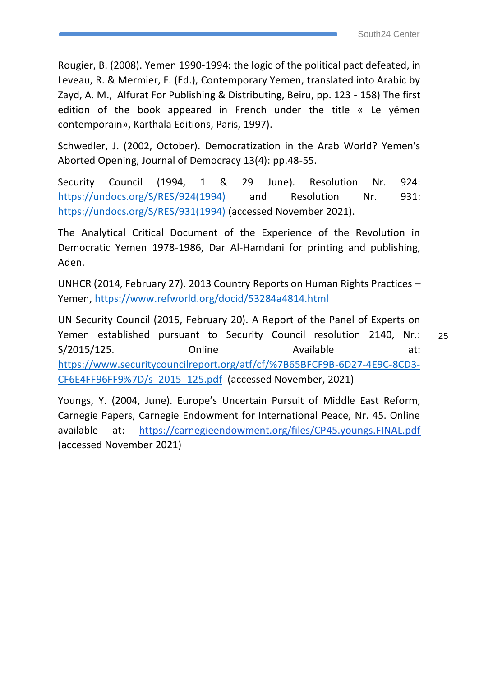Rougier, B. (2008). Yemen 1990-1994: the logic of the political pact defeated, in Leveau, R. & Mermier, F. (Ed.), Contemporary Yemen, translated into Arabic by Zayd, A. M., Alfurat For Publishing & Distributing, Beiru, pp. 123 - 158) The first edition of the book appeared in French under the title « Le yémen contemporain», Karthala Editions, Paris, 1997).

Schwedler, J. (2002, October). Democratization in the Arab World? Yemen's Aborted Opening, Journal of Democracy 13(4): pp.48-55.

Security Council (1994, 1 & 29 June). Resolution Nr. 924: [https://undocs.org/S/RES/924\(1994\)](https://undocs.org/S/RES/924(1994)) and Resolution Nr. 931: [https://undocs.org/S/RES/931\(1994\)](https://undocs.org/S/RES/931(1994)) (accessed November 2021).

The Analytical Critical Document of the Experience of the Revolution in Democratic Yemen 1978-1986, Dar Al-Hamdani for printing and publishing, Aden.

UNHCR (2014, February 27). 2013 Country Reports on Human Rights Practices – Yemen,<https://www.refworld.org/docid/53284a4814.html>

UN Security Council (2015, February 20). A Report of the Panel of Experts on Yemen established pursuant to Security Council resolution 2140, Nr.: S/2015/125. Online Available at: [https://www.securitycouncilreport.org/atf/cf/%7B65BFCF9B-6D27-4E9C-8CD3-](https://www.securitycouncilreport.org/atf/cf/%7B65BFCF9B-6D27-4E9C-8CD3-CF6E4FF96FF9%7D/s_2015_125.pdf) [CF6E4FF96FF9%7D/s\\_2015\\_125.pdf](https://www.securitycouncilreport.org/atf/cf/%7B65BFCF9B-6D27-4E9C-8CD3-CF6E4FF96FF9%7D/s_2015_125.pdf) (accessed November, 2021)

Youngs, Y. (2004, June). Europe's Uncertain Pursuit of Middle East Reform, Carnegie Papers, Carnegie Endowment for International Peace, Nr. 45. Online available at: <https://carnegieendowment.org/files/CP45.youngs.FINAL.pdf> (accessed November 2021)